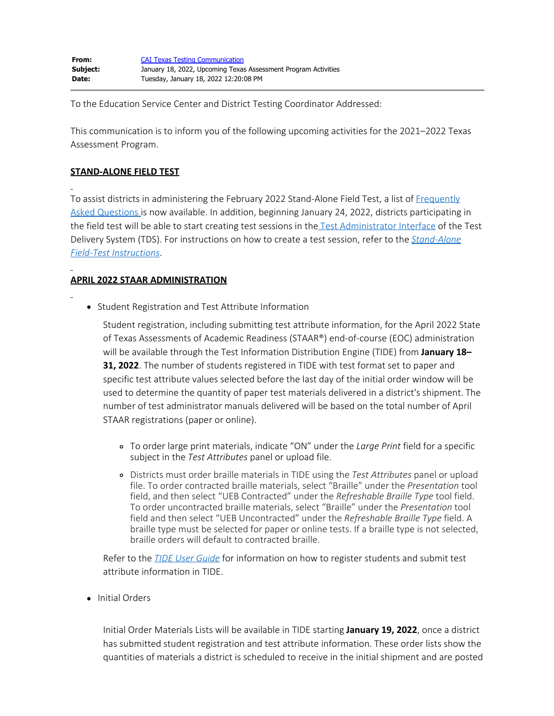To the Education Service Center and District Testing Coordinator Addressed:

This communication is to inform you of the following upcoming activities for the 2021–2022 Texas Assessment Program.

## **STAND-ALONE FIELD TEST**

To assist districts in administering the February 2022 Stand-Alone Field Test, a list of [Frequently](https://www.texasassessment.gov/resources/2022-stand-alone-field-test-information/2022-stand-alone-field-test-information) [Asked Questions](https://www.texasassessment.gov/resources/2022-stand-alone-field-test-information/2022-stand-alone-field-test-information) is now available. In addition, beginning January 24, 2022, districts participating in the field test will be able to start creating test sessions in the [Test Administrator Interface](https://www.texasassessment.gov/testing-personnel.html) of the Test Delivery System (TDS). For instructions on how to create a test session, refer to the *[Stand-Alone](https://www.texasassessment.gov/resources/2022-stand-alone-field-test-information/2022-stand-alone-field-test-information) [Field-Test Instructions](https://www.texasassessment.gov/resources/2022-stand-alone-field-test-information/2022-stand-alone-field-test-information)*.

# **APRIL 2022 STAAR ADMINISTRATION**

• Student Registration and Test Attribute Information

Student registration, including submitting test attribute information, for the April 2022 State of Texas Assessments of Academic Readiness (STAAR®) end-of-course (EOC) administration will be available through the Test Information Distribution Engine (TIDE) from **January 18– 31, 2022**. The number of students registered in TIDE with test format set to paper and specific test attribute values selected before the last day of the initial order window will be used to determine the quantity of paper test materials delivered in a district's shipment. The number of test administrator manuals delivered will be based on the total number of April STAAR registrations (paper or online).

- To order large print materials, indicate "ON" under the *Large Print* field for a specific subject in the *Test Attributes* panel or upload file.
- Districts must order braille materials in TIDE using the *Test Attributes* panel or upload file. To order contracted braille materials, select "Braille" under the *Presentation* tool field, and then select "UEB Contracted" under the *Refreshable Braille Type* tool field. To order uncontracted braille materials, select "Braille" under the *Presentation* tool field and then select "UEB Uncontracted" under the *Refreshable Braille Type* field. A braille type must be selected for paper or online tests. If a braille type is not selected, braille orders will default to contracted braille.

Refer to the *[TIDE User Guide](https://tx.portal.cambiumast.com/resources/system-user-guides/tide-user-guide)* for information on how to register students and submit test attribute information in TIDE.

• Initial Orders

Initial Order Materials Lists will be available in TIDE starting **January 19, 2022**, once a district has submitted student registration and test attribute information. These order lists show the quantities of materials a district is scheduled to receive in the initial shipment and are posted